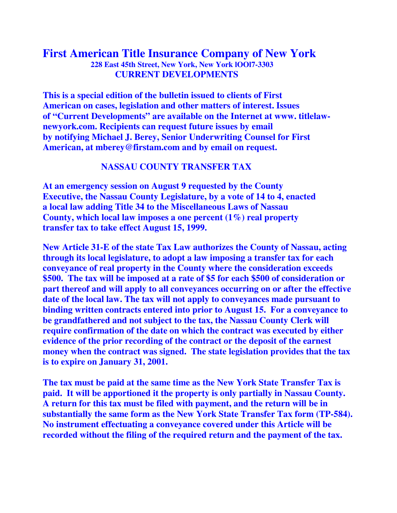## **First American Title Insurance Company of New York 228 East 45th Street, New York, New York lOOl7-3303 CURRENT DEVELOPMENTS**

**This is a special edition of the bulletin issued to clients of First American on cases, legislation and other matters of interest. Issues of "Current Developments" are available on the Internet at www. titlelawnewyork.com. Recipients can request future issues by email by notifying Michael J. Berey, Senior Underwriting Counsel for First American, at mberey@firstam.com and by email on request.** 

## **NASSAU COUNTY TRANSFER TAX**

**At an emergency session on August 9 requested by the County Executive, the Nassau County Legislature, by a vote of 14 to 4, enacted a local law adding Title 34 to the Miscellaneous Laws of Nassau County, which local law imposes a one percent (1%) real property transfer tax to take effect August 15, 1999.** 

**New Article 31-E of the state Tax Law authorizes the County of Nassau, acting through its local legislature, to adopt a law imposing a transfer tax for each conveyance of real property in the County where the consideration exceeds \$500. The tax will be imposed at a rate of \$5 for each \$500 of consideration or part thereof and will apply to all conveyances occurring on or after the effective date of the local law. The tax will not apply to conveyances made pursuant to binding written contracts entered into prior to August 15. For a conveyance to be grandfathered and not subject to the tax, the Nassau County Clerk will require confirmation of the date on which the contract was executed by either evidence of the prior recording of the contract or the deposit of the earnest money when the contract was signed. The state legislation provides that the tax is to expire on January 31, 2001.** 

**The tax must be paid at the same time as the New York State Transfer Tax is paid. It will be apportioned it the property is only partially in Nassau County. A return for this tax must be filed with payment, and the return will be in substantially the same form as the New York State Transfer Tax form (TP-584). No instrument effectuating a conveyance covered under this Article will be recorded without the filing of the required return and the payment of the tax.**